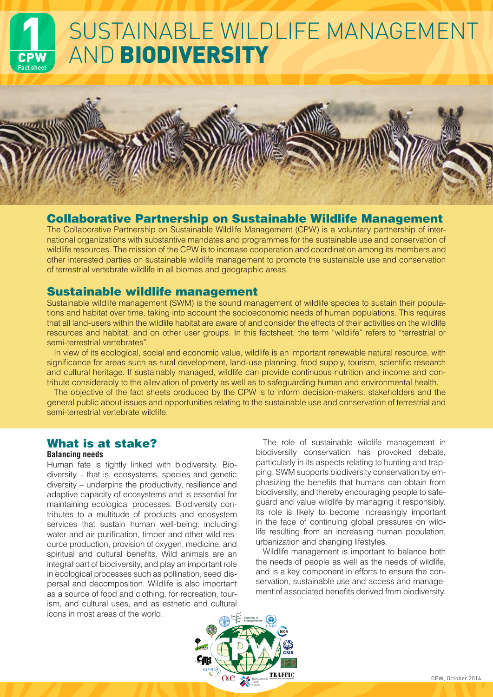# SUSTAINABLE WILDLIFE MANAGEMENT CPW **Fact sheet** AND BIODIVERSITY

### Collaborative Partnership on Sustainable Wildlife Management

The Collaborative Partnership on Sustainable Wildlife Management (CPW) is a voluntary partnership of international organizations with substantive mandates and programmes for the sustainable use and conservation of wildlife resources. The mission of the CPW is to increase cooperation and coordination among its members and other interested parties on sustainable wildlife management to promote the sustainable use and conservation of terrestrial vertebrate wildlife in all biomes and geographic areas.

### Sustainable wildlife management

Sustainable wildlife management (SWM) is the sound management of wildlife species to sustain their populations and habitat over time, taking into account the socioeconomic needs of human populations. This requires that all land-users within the wildlife habitat are aware of and consider the effects of their activities on the wildlife resources and habitat, and on other user groups. In this factsheet, the term "wildlife" refers to "terrestrial or semi-terrestrial vertebrates".

In view of its ecological, social and economic value, wildlife is an important renewable natural resource, with significance for areas such as rural development, land-use planning, food supply, tourism, scientific research and cultural heritage. If sustainably managed, wildlife can provide continuous nutrition and income and contribute considerably to the alleviation of poverty as well as to safeguarding human and environmental health.

The objective of the fact sheets produced by the CPW is to inform decision-makers, stakeholders and the general public about issues and opportunities relating to the sustainable use and conservation of terrestrial and semi-terrestrial vertebrate wildlife.

## What is at stake?

#### **Balancing needs**

Human fate is tightly linked with biodiversity. Biodiversity – that is, ecosystems, species and genetic diversity – underpins the productivity, resilience and adaptive capacity of ecosystems and is essential for maintaining ecological processes. Biodiversity contributes to a multitude of products and ecosystem services that sustain human well-being, including water and air purification, timber and other wild resource production, provision of oxygen, medicine, and spiritual and cultural benefits. Wild animals are an integral part of biodiversity, and play an important role in ecological processes such as pollination, seed dispersal and decomposition. Wildlife is also important as a source of food and clothing, for recreation, tourism, and cultural uses, and as esthetic and cultural icons in most areas of the world.

The role of sustainable wildlife management in biodiversity conservation has provoked debate, particularly in its aspects relating to hunting and trapping. SWM supports biodiversity conservation by emphasizing the benefits that humans can obtain from biodiversity, and thereby encouraging people to safeguard and value wildlife by managing it responsibly. Its role is likely to become increasingly important in the face of continuing global pressures on wildlife resulting from an increasing human population, urbanization and changing lifestyles.

Wildlife management is important to balance both the needs of people as well as the needs of wildlife, and is a key component in efforts to ensure the conservation, sustainable use and access and management of associated benefits derived from biodiversity.



Julian Mason, 2008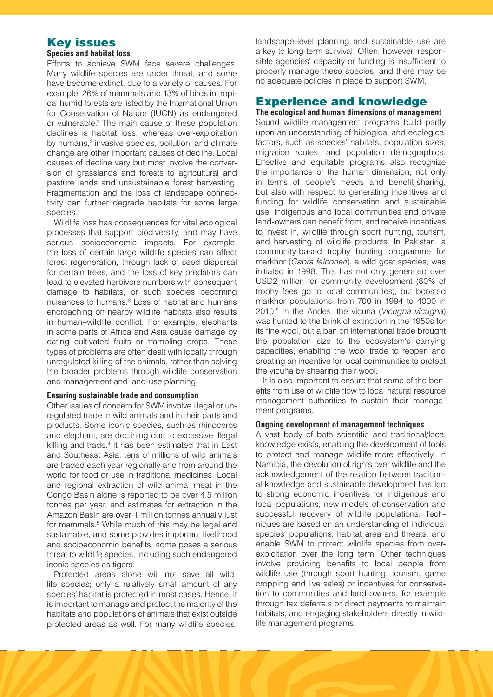## Key issues

#### **Species and habitat loss**

Efforts to achieve SWM face severe challenges. Many wildlife species are under threat, and some have become extinct, due to a variety of causes. For example, 26% of mammals and 13% of birds in tropical humid forests are listed by the International Union for Conservation of Nature (IUCN) as endangered or vulnerable.1 The main cause of these population declines is habitat loss, whereas over-exploitation by humans,<sup>2</sup> invasive species, pollution, and climate change are other important causes of decline. Local causes of decline vary but most involve the conversion of grasslands and forests to agricultural and pasture lands and unsustainable forest harvesting. Fragmentation and the loss of landscape connectivity can further degrade habitats for some large species.

Wildlife loss has consequences for vital ecological processes that support biodiversity, and may have serious socioeconomic impacts. For example, the loss of certain large wildlife species can affect forest regeneration, through lack of seed dispersal for certain trees, and the loss of key predators can lead to elevated herbivore numbers with consequent damage to habitats, or such species becoming nuisances to humans.<sup>3</sup> Loss of habitat and humans encroaching on nearby wildlife habitats also results in human–wildlife conflict. For example, elephants in some parts of Africa and Asia cause damage by eating cultivated fruits or trampling crops. These types of problems are often dealt with locally through unregulated killing of the animals, rather than solving the broader problems through wildlife conservation and management and land-use planning.

#### **Ensuring sustainable trade and consumption**

Other issues of concern for SWM involve illegal or unregulated trade in wild animals and in their parts and products. Some iconic species, such as rhinoceros and elephant, are declining due to excessive illegal killing and trade.<sup>4</sup> It has been estimated that in East and Southeast Asia, tens of millions of wild animals are traded each year regionally and from around the world for food or use in traditional medicines. Local and regional extraction of wild animal meat in the Congo Basin alone is reported to be over 4.5 million tonnes per year, and estimates for extraction in the Amazon Basin are over 1 million tonnes annually just for mammals.<sup>5</sup> While much of this may be legal and sustainable, and some provides important livelihood and socioeconomic benefits, some poses a serious threat to wildlife species, including such endangered iconic species as tigers.

Protected areas alone will not save all wildlife species; only a relatively small amount of any species' habitat is protected in most cases. Hence, it is important to manage and protect the majority of the habitats and populations of animals that exist outside protected areas as well. For many wildlife species, landscape-level planning and sustainable use are a key to long-term survival. Often, however, responsible agencies' capacity or funding is insufficient to properly manage these species, and there may be no adequate policies in place to support SWM.

### Experience and knowledge

**The ecological and human dimensions of management** Sound wildlife management programs build partly upon an understanding of biological and ecological factors, such as species' habitats, population sizes, migration routes, and population demographics. Effective and equitable programs also recognize the importance of the human dimension, not only in terms of people's needs and benefit-sharing, but also with respect to generating incentives and funding for wildlife conservation and sustainable use. Indigenous and local communities and private land-owners can benefit from, and receive incentives to invest in, wildlife through sport hunting, tourism, and harvesting of wildlife products. In Pakistan, a community-based trophy hunting programme for markhor (*Capra falconeri*), a wild goat species, was initiated in 1998. This has not only generated over USD2 million for community development (80% of trophy fees go to local communities), but boosted markhor populations: from 700 in 1994 to 4000 in 2010.6 In the Andes, the vicuña (*Vicugna vicugna*) was hunted to the brink of extinction in the 1950s for its fine wool, but a ban on international trade brought the population size to the ecosystem's carrying capacities, enabling the wool trade to reopen and creating an incentive for local communities to protect the vicuña by shearing their wool.

It is also important to ensure that some of the benefits from use of wildlife flow to local natural resource management authorities to sustain their management programs.

#### **Ongoing development of management techniques**

A vast body of both scientific and traditional/local knowledge exists, enabling the development of tools to protect and manage wildlife more effectively. In Namibia, the devolution of rights over wildlife and the acknowledgement of the relation between traditional knowledge and sustainable development has led to strong economic incentives for indigenous and local populations, new models of conservation and successful recovery of wildlife populations. Techniques are based on an understanding of individual species' populations, habitat area and threats, and enable SWM to protect wildlife species from overexploitation over the long term. Other techniques involve providing benefits to local people from wildlife use (through sport hunting, tourism, game cropping and live sales) or incentives for conservation to communities and land-owners, for example through tax deferrals or direct payments to maintain habitats, and engaging stakeholders directly in wildlife management programs.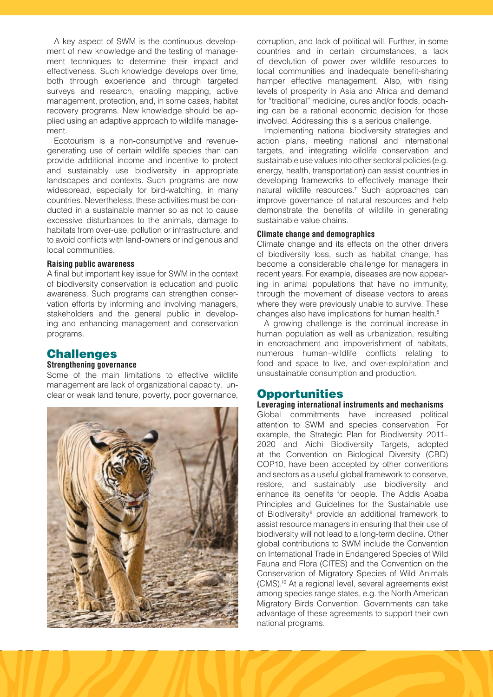A key aspect of SWM is the continuous development of new knowledge and the testing of management techniques to determine their impact and effectiveness. Such knowledge develops over time, both through experience and through targeted surveys and research, enabling mapping, active management, protection, and, in some cases, habitat recovery programs. New knowledge should be applied using an adaptive approach to wildlife management.

Ecotourism is a non-consumptive and revenuegenerating use of certain wildlife species than can provide additional income and incentive to protect and sustainably use biodiversity in appropriate landscapes and contexts. Such programs are now widespread, especially for bird-watching, in many countries. Nevertheless, these activities must be conducted in a sustainable manner so as not to cause excessive disturbances to the animals, damage to habitats from over-use, pollution or infrastructure, and to avoid conflicts with land-owners or indigenous and local communities.

#### **Raising public awareness**

A final but important key issue for SWM in the context of biodiversity conservation is education and public awareness. Such programs can strengthen conservation efforts by informing and involving managers, stakeholders and the general public in developing and enhancing management and conservation programs.

### **Challenges**

#### **Strengthening governance**

Some of the main limitations to effective wildlife management are lack of organizational capacity, unclear or weak land tenure, poverty, poor governance,



corruption, and lack of political will. Further, in some countries and in certain circumstances, a lack of devolution of power over wildlife resources to local communities and inadequate benefit-sharing hamper effective management. Also, with rising levels of prosperity in Asia and Africa and demand for "traditional" medicine, cures and/or foods, poaching can be a rational economic decision for those involved. Addressing this is a serious challenge.

Implementing national biodiversity strategies and action plans, meeting national and international targets, and integrating wildlife conservation and sustainable use values into other sectoral policies (e.g. energy, health, transportation) can assist countries in developing frameworks to effectively manage their natural wildlife resources.<sup>7</sup> Such approaches can improve governance of natural resources and help demonstrate the benefits of wildlife in generating sustainable value chains.

#### **Climate change and demographics**

Climate change and its effects on the other drivers of biodiversity loss, such as habitat change, has become a considerable challenge for managers in recent years. For example, diseases are now appearing in animal populations that have no immunity, through the movement of disease vectors to areas where they were previously unable to survive. These changes also have implications for human health.<sup>8</sup>

A growing challenge is the continual increase in human population as well as urbanization, resulting in encroachment and impoverishment of habitats, numerous human–wildlife conflicts relating to food and space to live, and over-exploitation and unsustainable consumption and production.

### **Opportunities**

**Leveraging international instruments and mechanisms** Global commitments have increased political attention to SWM and species conservation. For example, the Strategic Plan for Biodiversity 2011– 2020 and Aichi Biodiversity Targets, adopted at the Convention on Biological Diversity (CBD) COP10, have been accepted by other conventions and sectors as a useful global framework to conserve, restore, and sustainably use biodiversity and enhance its benefits for people. The Addis Ababa Principles and Guidelines for the Sustainable use of Biodiversity<sup>9</sup> provide an additional framework to assist resource managers in ensuring that their use of biodiversity will not lead to a long-term decline. Other global contributions to SWM include the Convention on International Trade in Endangered Species of Wild Fauna and Flora (CITES) and the Convention on the Conservation of Migratory Species of Wild Animals (CMS).10 At a regional level, several agreements exist among species range states, e.g. the North American Migratory Birds Convention. Governments can take advantage of these agreements to support their own national programs.